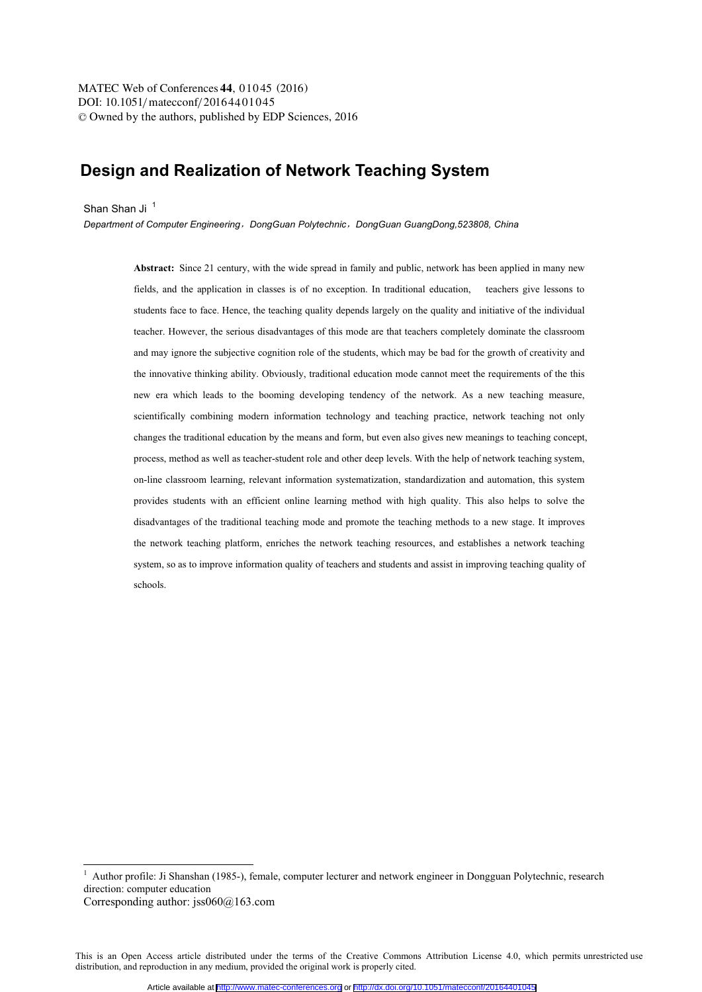DOI: 10.1051/matecconf/20164401045 © Owned by the authors, published by EDP Sciences, 2016 MATEC Web of Conferences 44, 01045 (2016)

# **Design and Realization of Network Teaching System**

Shan Shan Ji $<sup>1</sup>$ </sup>

*Department of Computer Engineering*<sup>ˈ</sup>*DongGuan Polytechnic*<sup>ˈ</sup>*DongGuan GuangDong,523808, China* 

**Abstract:** Since 21 century, with the wide spread in family and public, network has been applied in many new fields, and the application in classes is of no exception. In traditional education, teachers give lessons to students face to face. Hence, the teaching quality depends largely on the quality and initiative of the individual teacher. However, the serious disadvantages of this mode are that teachers completely dominate the classroom and may ignore the subjective cognition role of the students, which may be bad for the growth of creativity and the innovative thinking ability. Obviously, traditional education mode cannot meet the requirements of the this new era which leads to the booming developing tendency of the network. As a new teaching measure, scientifically combining modern information technology and teaching practice, network teaching not only changes the traditional education by the means and form, but even also gives new meanings to teaching concept, process, method as well as teacher-student role and other deep levels. With the help of network teaching system, on-line classroom learning, relevant information systematization, standardization and automation, this system provides students with an efficient online learning method with high quality. This also helps to solve the disadvantages of the traditional teaching mode and promote the teaching methods to a new stage. It improves the network teaching platform, enriches the network teaching resources, and establishes a network teaching system, so as to improve information quality of teachers and students and assist in improving teaching quality of schools.

 1 Author profile: Ji Shanshan (1985-), female, computer lecturer and network engineer in Dongguan Polytechnic, research direction: computer education

Corresponding author: jss060@163.com

This is an Open Access article distributed under the terms of the Creative Commons Attribution License 4.0, which permits unrestricted use distribution, and reproduction in any medium, provided the original work is properly cited.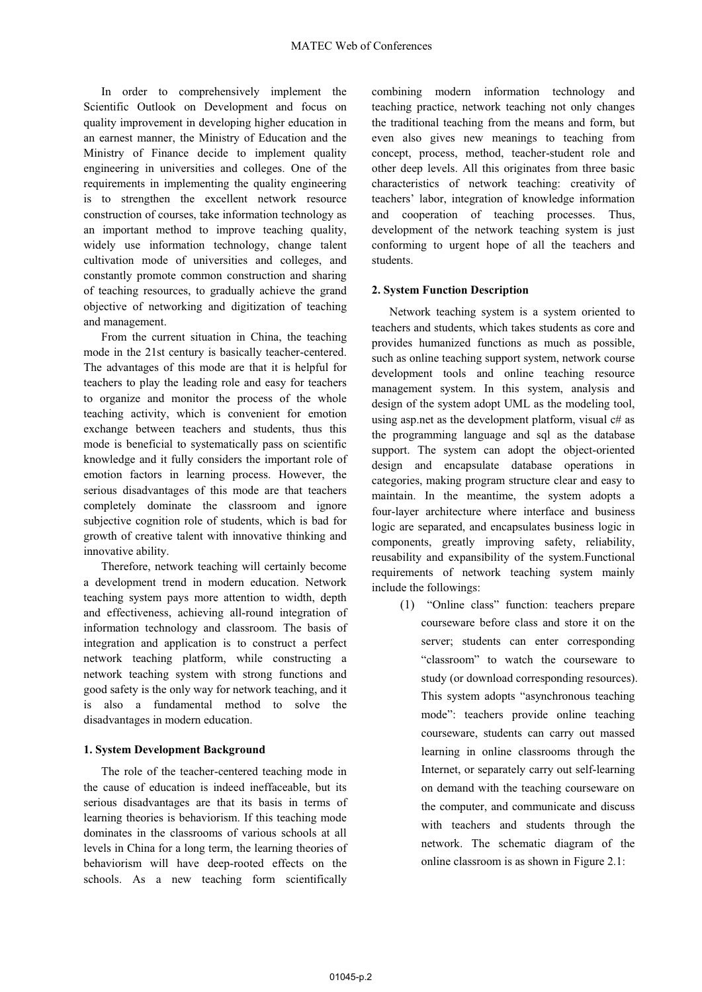In order to comprehensively implement the Scientific Outlook on Development and focus on quality improvement in developing higher education in an earnest manner, the Ministry of Education and the Ministry of Finance decide to implement quality engineering in universities and colleges. One of the requirements in implementing the quality engineering is to strengthen the excellent network resource construction of courses, take information technology as an important method to improve teaching quality, widely use information technology, change talent cultivation mode of universities and colleges, and constantly promote common construction and sharing of teaching resources, to gradually achieve the grand objective of networking and digitization of teaching and management.

From the current situation in China, the teaching mode in the 21st century is basically teacher-centered. The advantages of this mode are that it is helpful for teachers to play the leading role and easy for teachers to organize and monitor the process of the whole teaching activity, which is convenient for emotion exchange between teachers and students, thus this mode is beneficial to systematically pass on scientific knowledge and it fully considers the important role of emotion factors in learning process. However, the serious disadvantages of this mode are that teachers completely dominate the classroom and ignore subjective cognition role of students, which is bad for growth of creative talent with innovative thinking and innovative ability.

Therefore, network teaching will certainly become a development trend in modern education. Network teaching system pays more attention to width, depth and effectiveness, achieving all-round integration of information technology and classroom. The basis of integration and application is to construct a perfect network teaching platform, while constructing a network teaching system with strong functions and good safety is the only way for network teaching, and it is also a fundamental method to solve the disadvantages in modern education.

#### **1. System Development Background**

The role of the teacher-centered teaching mode in the cause of education is indeed ineffaceable, but its serious disadvantages are that its basis in terms of learning theories is behaviorism. If this teaching mode dominates in the classrooms of various schools at all levels in China for a long term, the learning theories of behaviorism will have deep-rooted effects on the schools. As a new teaching form scientifically

combining modern information technology and teaching practice, network teaching not only changes the traditional teaching from the means and form, but even also gives new meanings to teaching from concept, process, method, teacher-student role and other deep levels. All this originates from three basic characteristics of network teaching: creativity of teachers' labor, integration of knowledge information and cooperation of teaching processes. Thus, development of the network teaching system is just conforming to urgent hope of all the teachers and students.

## **2. System Function Description**

Network teaching system is a system oriented to teachers and students, which takes students as core and provides humanized functions as much as possible, such as online teaching support system, network course development tools and online teaching resource management system. In this system, analysis and design of the system adopt UML as the modeling tool, using asp.net as the development platform, visual c# as the programming language and sql as the database support. The system can adopt the object-oriented design and encapsulate database operations in categories, making program structure clear and easy to maintain. In the meantime, the system adopts a four-layer architecture where interface and business logic are separated, and encapsulates business logic in components, greatly improving safety, reliability, reusability and expansibility of the system.Functional requirements of network teaching system mainly include the followings:

> (1) "Online class" function: teachers prepare courseware before class and store it on the server; students can enter corresponding "classroom" to watch the courseware to study (or download corresponding resources). This system adopts "asynchronous teaching mode": teachers provide online teaching courseware, students can carry out massed learning in online classrooms through the Internet, or separately carry out self-learning on demand with the teaching courseware on the computer, and communicate and discuss with teachers and students through the network. The schematic diagram of the online classroom is as shown in Figure 2.1: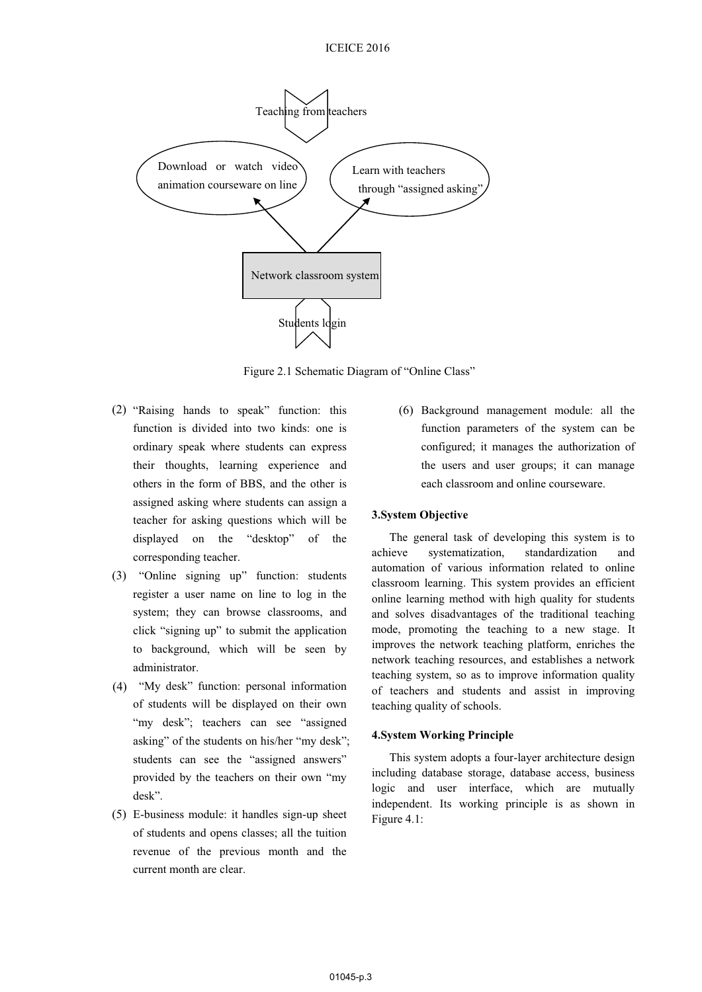### ICEICE 2016



Figure 2.1 Schematic Diagram of "Online Class"

- (2) "Raising hands to speak" function: this function is divided into two kinds: one is ordinary speak where students can express their thoughts, learning experience and others in the form of BBS, and the other is assigned asking where students can assign a teacher for asking questions which will be displayed on the "desktop" of the corresponding teacher.
- (3) "Online signing up" function: students register a user name on line to log in the system; they can browse classrooms, and click "signing up" to submit the application to background, which will be seen by administrator.
- (4) "My desk" function: personal information of students will be displayed on their own "my desk"; teachers can see "assigned" asking" of the students on his/her "my desk"; students can see the "assigned answers" provided by the teachers on their own "my desk".
- (5) E-business module: it handles sign-up sheet of students and opens classes; all the tuition revenue of the previous month and the current month are clear.

(6) Background management module: all the function parameters of the system can be configured; it manages the authorization of the users and user groups; it can manage each classroom and online courseware.

#### **3.System Objective**

The general task of developing this system is to achieve systematization, standardization and automation of various information related to online classroom learning. This system provides an efficient online learning method with high quality for students and solves disadvantages of the traditional teaching mode, promoting the teaching to a new stage. It improves the network teaching platform, enriches the network teaching resources, and establishes a network teaching system, so as to improve information quality of teachers and students and assist in improving teaching quality of schools.

#### **4.System Working Principle**

This system adopts a four-layer architecture design including database storage, database access, business logic and user interface, which are mutually independent. Its working principle is as shown in Figure 4.1: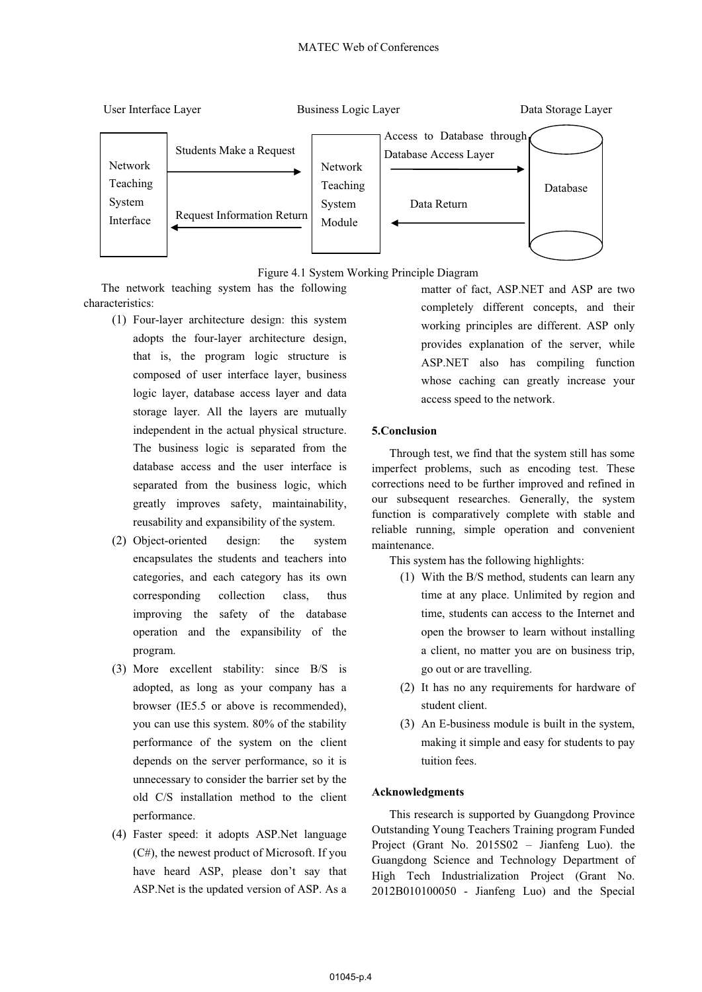



The network teaching system has the following characteristics:

- (1) Four-layer architecture design: this system adopts the four-layer architecture design, that is, the program logic structure is composed of user interface layer, business logic layer, database access layer and data storage layer. All the layers are mutually independent in the actual physical structure. The business logic is separated from the database access and the user interface is separated from the business logic, which greatly improves safety, maintainability, reusability and expansibility of the system.
- (2) Object-oriented design: the system encapsulates the students and teachers into categories, and each category has its own corresponding collection class, thus improving the safety of the database operation and the expansibility of the program.
- (3) More excellent stability: since B/S is adopted, as long as your company has a browser (IE5.5 or above is recommended), you can use this system. 80% of the stability performance of the system on the client depends on the server performance, so it is unnecessary to consider the barrier set by the old C/S installation method to the client performance.
- (4) Faster speed: it adopts ASP.Net language (C#), the newest product of Microsoft. If you have heard ASP, please don't say that ASP.Net is the updated version of ASP. As a

matter of fact, ASP.NET and ASP are two completely different concepts, and their working principles are different. ASP only provides explanation of the server, while ASP.NET also has compiling function whose caching can greatly increase your access speed to the network.

## **5.Conclusion**

Through test, we find that the system still has some imperfect problems, such as encoding test. These corrections need to be further improved and refined in our subsequent researches. Generally, the system function is comparatively complete with stable and reliable running, simple operation and convenient maintenance.

This system has the following highlights:

- (1) With the B/S method, students can learn any time at any place. Unlimited by region and time, students can access to the Internet and open the browser to learn without installing a client, no matter you are on business trip, go out or are travelling.
- (2) It has no any requirements for hardware of student client.
- (3) An E-business module is built in the system, making it simple and easy for students to pay tuition fees.

# **Acknowledgments**

This research is supported by Guangdong Province Outstanding Young Teachers Training program Funded Project (Grant No. 2015S02 – Jianfeng Luo). the Guangdong Science and Technology Department of High Tech Industrialization Project (Grant No. 2012B010100050 - Jianfeng Luo) and the Special